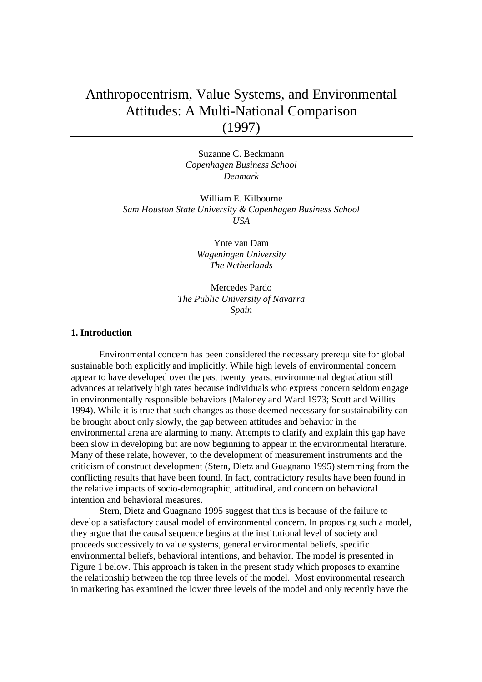# Anthropocentrism, Value Systems, and Environmental Attitudes: A Multi-National Comparison (1997)

Suzanne C. Beckmann *Copenhagen Business School Denmark* 

William E. Kilbourne *Sam Houston State University & Copenhagen Business School USA* 

> Ynte van Dam *Wageningen University The Netherlands*

Mercedes Pardo *The Public University of Navarra Spain* 

# **1. Introduction**

 Environmental concern has been considered the necessary prerequisite for global sustainable both explicitly and implicitly. While high levels of environmental concern appear to have developed over the past twenty years, environmental degradation still advances at relatively high rates because individuals who express concern seldom engage in environmentally responsible behaviors (Maloney and Ward 1973; Scott and Willits 1994). While it is true that such changes as those deemed necessary for sustainability can be brought about only slowly, the gap between attitudes and behavior in the environmental arena are alarming to many. Attempts to clarify and explain this gap have been slow in developing but are now beginning to appear in the environmental literature. Many of these relate, however, to the development of measurement instruments and the criticism of construct development (Stern, Dietz and Guagnano 1995) stemming from the conflicting results that have been found. In fact, contradictory results have been found in the relative impacts of socio-demographic, attitudinal, and concern on behavioral intention and behavioral measures.

 Stern, Dietz and Guagnano 1995 suggest that this is because of the failure to develop a satisfactory causal model of environmental concern. In proposing such a model, they argue that the causal sequence begins at the institutional level of society and proceeds successively to value systems, general environmental beliefs, specific environmental beliefs, behavioral intentions, and behavior. The model is presented in Figure 1 below. This approach is taken in the present study which proposes to examine the relationship between the top three levels of the model. Most environmental research in marketing has examined the lower three levels of the model and only recently have the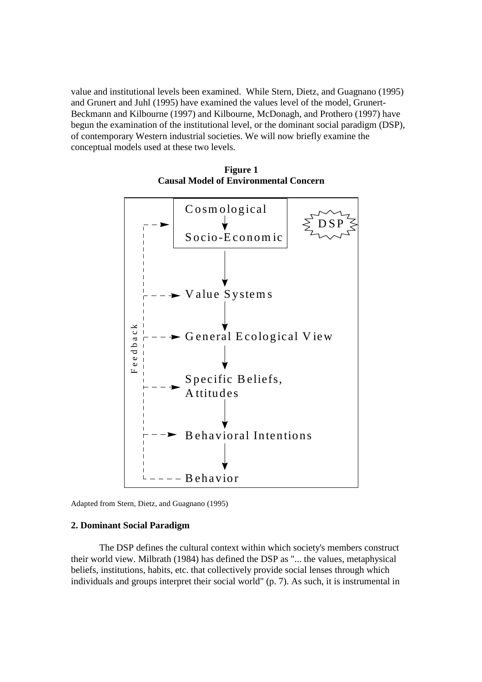value and institutional levels been examined. While Stern, Dietz, and Guagnano (1995) and Grunert and Juhl (1995) have examined the values level of the model, Grunert-Beckmann and Kilbourne (1997) and Kilbourne, McDonagh, and Prothero (1997) have begun the examination of the institutional level, or the dominant social paradigm (DSP), of contemporary Western industrial societies. We will now briefly examine the conceptual models used at these two levels.



**Figure 1 Causal Model of Environmental Concern** 

Adapted from Stern, Dietz, and Guagnano (1995)

#### **2. Dominant Social Paradigm**

The DSP defines the cultural context within which society's members construct their world view. Milbrath (1984) has defined the DSP as "... the values, metaphysical beliefs, institutions, habits, etc. that collectively provide social lenses through which individuals and groups interpret their social world" (p. 7). As such, it is instrumental in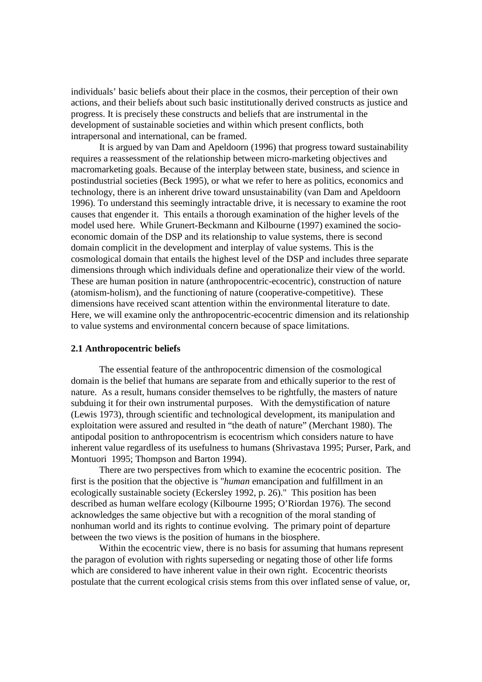individuals' basic beliefs about their place in the cosmos, their perception of their own actions, and their beliefs about such basic institutionally derived constructs as justice and progress. It is precisely these constructs and beliefs that are instrumental in the development of sustainable societies and within which present conflicts, both intrapersonal and international, can be framed.

 It is argued by van Dam and Apeldoorn (1996) that progress toward sustainability requires a reassessment of the relationship between micro-marketing objectives and macromarketing goals. Because of the interplay between state, business, and science in postindustrial societies (Beck 1995), or what we refer to here as politics, economics and technology, there is an inherent drive toward unsustainability (van Dam and Apeldoorn 1996). To understand this seemingly intractable drive, it is necessary to examine the root causes that engender it. This entails a thorough examination of the higher levels of the model used here. While Grunert-Beckmann and Kilbourne (1997) examined the socioeconomic domain of the DSP and its relationship to value systems, there is second domain complicit in the development and interplay of value systems. This is the cosmological domain that entails the highest level of the DSP and includes three separate dimensions through which individuals define and operationalize their view of the world. These are human position in nature (anthropocentric-ecocentric), construction of nature (atomism-holism), and the functioning of nature (cooperative-competitive). These dimensions have received scant attention within the environmental literature to date. Here, we will examine only the anthropocentric-ecocentric dimension and its relationship to value systems and environmental concern because of space limitations.

#### **2.1 Anthropocentric beliefs**

 The essential feature of the anthropocentric dimension of the cosmological domain is the belief that humans are separate from and ethically superior to the rest of nature. As a result, humans consider themselves to be rightfully, the masters of nature subduing it for their own instrumental purposes. With the demystification of nature (Lewis 1973), through scientific and technological development, its manipulation and exploitation were assured and resulted in "the death of nature" (Merchant 1980). The antipodal position to anthropocentrism is ecocentrism which considers nature to have inherent value regardless of its usefulness to humans (Shrivastava 1995; Purser, Park, and Montuori 1995; Thompson and Barton 1994).

 There are two perspectives from which to examine the ecocentric position. The first is the position that the objective is "*human* emancipation and fulfillment in an ecologically sustainable society (Eckersley 1992, p. 26)." This position has been described as human welfare ecology (Kilbourne 1995; O'Riordan 1976). The second acknowledges the same objective but with a recognition of the moral standing of nonhuman world and its rights to continue evolving. The primary point of departure between the two views is the position of humans in the biosphere.

 Within the ecocentric view, there is no basis for assuming that humans represent the paragon of evolution with rights superseding or negating those of other life forms which are considered to have inherent value in their own right. Ecocentric theorists postulate that the current ecological crisis stems from this over inflated sense of value, or,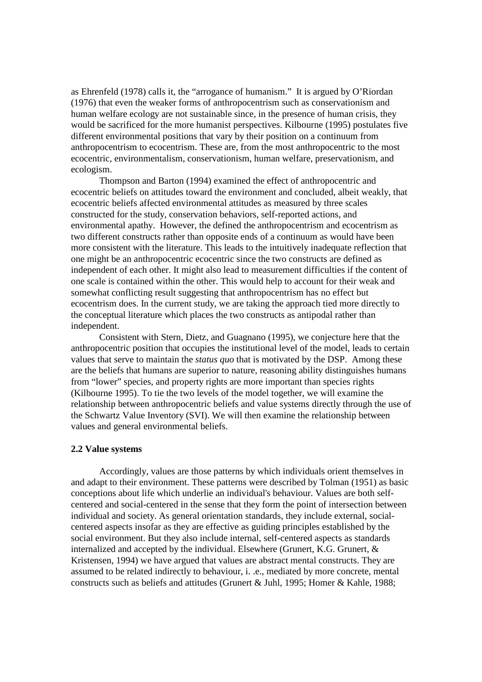as Ehrenfeld (1978) calls it, the "arrogance of humanism." It is argued by O'Riordan (1976) that even the weaker forms of anthropocentrism such as conservationism and human welfare ecology are not sustainable since, in the presence of human crisis, they would be sacrificed for the more humanist perspectives. Kilbourne (1995) postulates five different environmental positions that vary by their position on a continuum from anthropocentrism to ecocentrism. These are, from the most anthropocentric to the most ecocentric, environmentalism, conservationism, human welfare, preservationism, and ecologism.

 Thompson and Barton (1994) examined the effect of anthropocentric and ecocentric beliefs on attitudes toward the environment and concluded, albeit weakly, that ecocentric beliefs affected environmental attitudes as measured by three scales constructed for the study, conservation behaviors, self-reported actions, and environmental apathy. However, the defined the anthropocentrism and ecocentrism as two different constructs rather than opposite ends of a continuum as would have been more consistent with the literature. This leads to the intuitively inadequate reflection that one might be an anthropocentric ecocentric since the two constructs are defined as independent of each other. It might also lead to measurement difficulties if the content of one scale is contained within the other. This would help to account for their weak and somewhat conflicting result suggesting that anthropocentrism has no effect but ecocentrism does. In the current study, we are taking the approach tied more directly to the conceptual literature which places the two constructs as antipodal rather than independent.

 Consistent with Stern, Dietz, and Guagnano (1995), we conjecture here that the anthropocentric position that occupies the institutional level of the model, leads to certain values that serve to maintain the *status quo* that is motivated by the DSP. Among these are the beliefs that humans are superior to nature, reasoning ability distinguishes humans from "lower" species, and property rights are more important than species rights (Kilbourne 1995). To tie the two levels of the model together, we will examine the relationship between anthropocentric beliefs and value systems directly through the use of the Schwartz Value Inventory (SVI). We will then examine the relationship between values and general environmental beliefs.

### **2.2 Value systems**

Accordingly, values are those patterns by which individuals orient themselves in and adapt to their environment. These patterns were described by Tolman (1951) as basic conceptions about life which underlie an individual's behaviour. Values are both selfcentered and social-centered in the sense that they form the point of intersection between individual and society. As general orientation standards, they include external, socialcentered aspects insofar as they are effective as guiding principles established by the social environment. But they also include internal, self-centered aspects as standards internalized and accepted by the individual. Elsewhere (Grunert, K.G. Grunert, & Kristensen, 1994) we have argued that values are abstract mental constructs. They are assumed to be related indirectly to behaviour, i. .e., mediated by more concrete, mental constructs such as beliefs and attitudes (Grunert & Juhl, 1995; Homer & Kahle, 1988;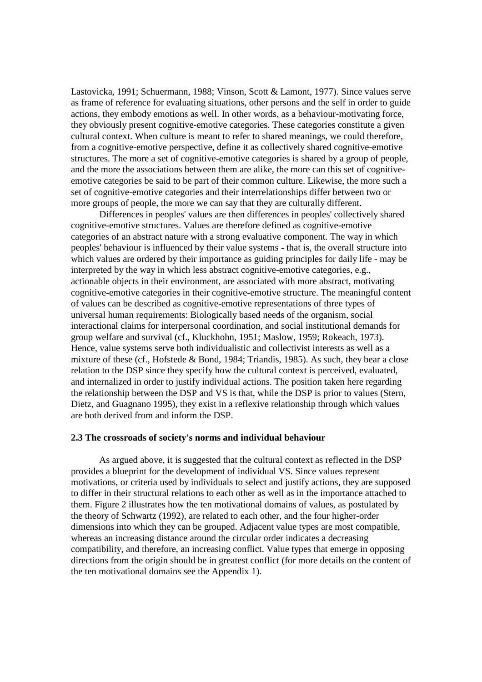Lastovicka, 1991; Schuermann, 1988; Vinson, Scott & Lamont, 1977). Since values serve as frame of reference for evaluating situations, other persons and the self in order to guide actions, they embody emotions as well. In other words, as a behaviour-motivating force, they obviously present cognitive-emotive categories. These categories constitute a given cultural context. When culture is meant to refer to shared meanings, we could therefore, from a cognitive-emotive perspective, define it as collectively shared cognitive-emotive structures. The more a set of cognitive-emotive categories is shared by a group of people, and the more the associations between them are alike, the more can this set of cognitiveemotive categories be said to be part of their common culture. Likewise, the more such a set of cognitive-emotive categories and their interrelationships differ between two or more groups of people, the more we can say that they are culturally different.

Differences in peoples' values are then differences in peoples' collectively shared cognitive-emotive structures. Values are therefore defined as cognitive-emotive categories of an abstract nature with a strong evaluative component. The way in which peoples' behaviour is influenced by their value systems - that is, the overall structure into which values are ordered by their importance as guiding principles for daily life - may be interpreted by the way in which less abstract cognitive-emotive categories, e.g., actionable objects in their environment, are associated with more abstract, motivating cognitive-emotive categories in their cognitive-emotive structure. The meaningful content of values can be described as cognitive-emotive representations of three types of universal human requirements: Biologically based needs of the organism, social interactional claims for interpersonal coordination, and social institutional demands for group welfare and survival (cf., Kluckhohn, 1951; Maslow, 1959; Rokeach, 1973). Hence, value systems serve both individualistic and collectivist interests as well as a mixture of these (cf., Hofstede & Bond, 1984; Triandis, 1985). As such, they bear a close relation to the DSP since they specify how the cultural context is perceived, evaluated, and internalized in order to justify individual actions. The position taken here regarding the relationship between the DSP and VS is that, while the DSP is prior to values (Stern, Dietz, and Guagnano 1995), they exist in a reflexive relationship through which values are both derived from and inform the DSP.

#### **2.3 The crossroads of society's norms and individual behaviour**

As argued above, it is suggested that the cultural context as reflected in the DSP provides a blueprint for the development of individual VS. Since values represent motivations, or criteria used by individuals to select and justify actions, they are supposed to differ in their structural relations to each other as well as in the importance attached to them. Figure 2 illustrates how the ten motivational domains of values, as postulated by the theory of Schwartz (1992), are related to each other, and the four higher-order dimensions into which they can be grouped. Adjacent value types are most compatible, whereas an increasing distance around the circular order indicates a decreasing compatibility, and therefore, an increasing conflict. Value types that emerge in opposing directions from the origin should be in greatest conflict (for more details on the content of the ten motivational domains see the Appendix 1).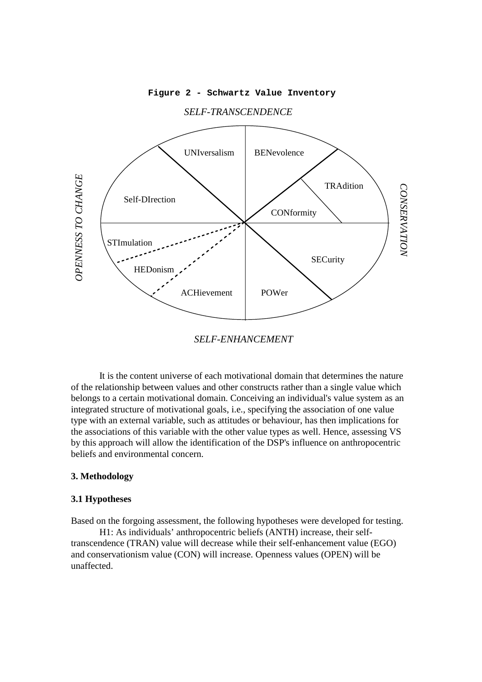**Figure 2 - Schwartz Value Inventory**



*SELF-TRANSCENDENCE*

*SELF-ENHANCEMENT*

It is the content universe of each motivational domain that determines the nature of the relationship between values and other constructs rather than a single value which belongs to a certain motivational domain. Conceiving an individual's value system as an integrated structure of motivational goals, i.e., specifying the association of one value type with an external variable, such as attitudes or behaviour, has then implications for the associations of this variable with the other value types as well. Hence, assessing VS by this approach will allow the identification of the DSP's influence on anthropocentric beliefs and environmental concern.

#### **3. Methodology**

### **3.1 Hypotheses**

Based on the forgoing assessment, the following hypotheses were developed for testing. H1: As individuals' anthropocentric beliefs (ANTH) increase, their selftranscendence (TRAN) value will decrease while their self-enhancement value (EGO) and conservationism value (CON) will increase. Openness values (OPEN) will be unaffected.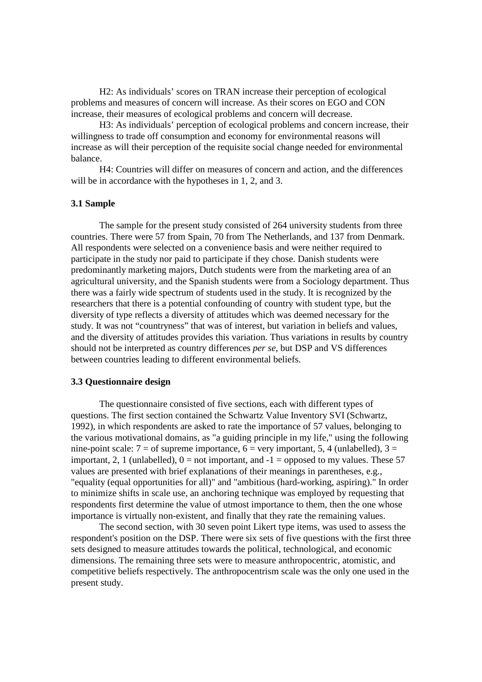H2: As individuals' scores on TRAN increase their perception of ecological problems and measures of concern will increase. As their scores on EGO and CON increase, their measures of ecological problems and concern will decrease.

 H3: As individuals' perception of ecological problems and concern increase, their willingness to trade off consumption and economy for environmental reasons will increase as will their perception of the requisite social change needed for environmental balance.

 H4: Countries will differ on measures of concern and action, and the differences will be in accordance with the hypotheses in 1, 2, and 3.

# **3.1 Sample**

 The sample for the present study consisted of 264 university students from three countries. There were 57 from Spain, 70 from The Netherlands, and 137 from Denmark. All respondents were selected on a convenience basis and were neither required to participate in the study nor paid to participate if they chose. Danish students were predominantly marketing majors, Dutch students were from the marketing area of an agricultural university, and the Spanish students were from a Sociology department. Thus there was a fairly wide spectrum of students used in the study. It is recognized by the researchers that there is a potential confounding of country with student type, but the diversity of type reflects a diversity of attitudes which was deemed necessary for the study. It was not "countryness" that was of interest, but variation in beliefs and values, and the diversity of attitudes provides this variation. Thus variations in results by country should not be interpreted as country differences *per se*, but DSP and VS differences between countries leading to different environmental beliefs.

#### **3.3 Questionnaire design**

The questionnaire consisted of five sections, each with different types of questions. The first section contained the Schwartz Value Inventory SVI (Schwartz, 1992), in which respondents are asked to rate the importance of 57 values, belonging to the various motivational domains, as "a guiding principle in my life," using the following nine-point scale:  $7 =$  of supreme importance,  $6 =$  very important, 5, 4 (unlabelled),  $3 =$ important, 2, 1 (unlabelled),  $0 =$  not important, and  $-1 =$  opposed to my values. These 57 values are presented with brief explanations of their meanings in parentheses, e.g., "equality (equal opportunities for all)" and "ambitious (hard-working, aspiring)." In order to minimize shifts in scale use, an anchoring technique was employed by requesting that respondents first determine the value of utmost importance to them, then the one whose importance is virtually non-existent, and finally that they rate the remaining values.

The second section, with 30 seven point Likert type items, was used to assess the respondent's position on the DSP. There were six sets of five questions with the first three sets designed to measure attitudes towards the political, technological, and economic dimensions. The remaining three sets were to measure anthropocentric, atomistic, and competitive beliefs respectively. The anthropocentrism scale was the only one used in the present study.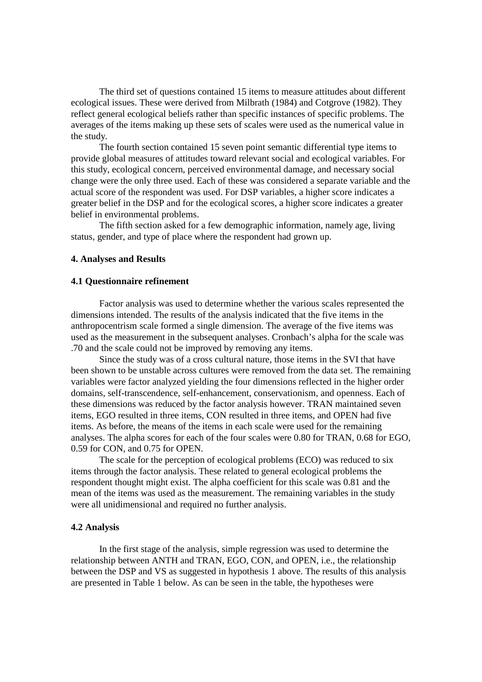The third set of questions contained 15 items to measure attitudes about different ecological issues. These were derived from Milbrath (1984) and Cotgrove (1982). They reflect general ecological beliefs rather than specific instances of specific problems. The averages of the items making up these sets of scales were used as the numerical value in the study.

The fourth section contained 15 seven point semantic differential type items to provide global measures of attitudes toward relevant social and ecological variables. For this study, ecological concern, perceived environmental damage, and necessary social change were the only three used. Each of these was considered a separate variable and the actual score of the respondent was used. For DSP variables, a higher score indicates a greater belief in the DSP and for the ecological scores, a higher score indicates a greater belief in environmental problems.

The fifth section asked for a few demographic information, namely age, living status, gender, and type of place where the respondent had grown up.

#### **4. Analyses and Results**

## **4.1 Questionnaire refinement**

 Factor analysis was used to determine whether the various scales represented the dimensions intended. The results of the analysis indicated that the five items in the anthropocentrism scale formed a single dimension. The average of the five items was used as the measurement in the subsequent analyses. Cronbach's alpha for the scale was .70 and the scale could not be improved by removing any items.

 Since the study was of a cross cultural nature, those items in the SVI that have been shown to be unstable across cultures were removed from the data set. The remaining variables were factor analyzed yielding the four dimensions reflected in the higher order domains, self-transcendence, self-enhancement, conservationism, and openness. Each of these dimensions was reduced by the factor analysis however. TRAN maintained seven items, EGO resulted in three items, CON resulted in three items, and OPEN had five items. As before, the means of the items in each scale were used for the remaining analyses. The alpha scores for each of the four scales were 0.80 for TRAN, 0.68 for EGO, 0.59 for CON, and 0.75 for OPEN.

 The scale for the perception of ecological problems (ECO) was reduced to six items through the factor analysis. These related to general ecological problems the respondent thought might exist. The alpha coefficient for this scale was 0.81 and the mean of the items was used as the measurement. The remaining variables in the study were all unidimensional and required no further analysis.

## **4.2 Analysis**

 In the first stage of the analysis, simple regression was used to determine the relationship between ANTH and TRAN, EGO, CON, and OPEN, i.e., the relationship between the DSP and VS as suggested in hypothesis 1 above. The results of this analysis are presented in Table 1 below. As can be seen in the table, the hypotheses were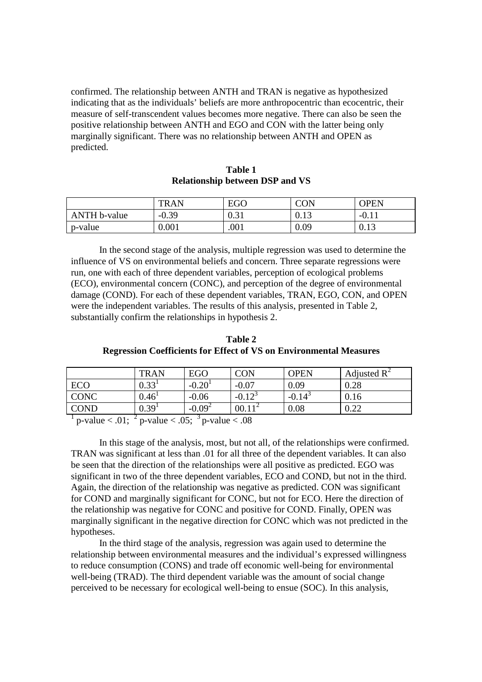confirmed. The relationship between ANTH and TRAN is negative as hypothesized indicating that as the individuals' beliefs are more anthropocentric than ecocentric, their measure of self-transcendent values becomes more negative. There can also be seen the positive relationship between ANTH and EGO and CON with the latter being only marginally significant. There was no relationship between ANTH and OPEN as predicted.

|              | <b>TRAN</b> | EGO                           | CON          | OPEN    |
|--------------|-------------|-------------------------------|--------------|---------|
| ANTH b-value | $-0.39$     | $\bigcap$ $\bigcap$ 1<br>U.JI | ∩ 1つ<br>V.IJ | $-U.11$ |
| p-value      | 0.001       | .001                          | 0.09         | 0.13    |

**Table 1 Relationship between DSP and VS** 

 In the second stage of the analysis, multiple regression was used to determine the influence of VS on environmental beliefs and concern. Three separate regressions were run, one with each of three dependent variables, perception of ecological problems (ECO), environmental concern (CONC), and perception of the degree of environmental damage (COND). For each of these dependent variables, TRAN, EGO, CON, and OPEN were the independent variables. The results of this analysis, presented in Table 2, substantially confirm the relationships in hypothesis 2.

**Table 2 Regression Coefficients for Effect of VS on Environmental Measures** 

|             | <b>TRAN</b>             | <b>EGO</b> | CON                  | <b>OPEN</b>          | Adjusted $R^2$ |
|-------------|-------------------------|------------|----------------------|----------------------|----------------|
| <b>ECO</b>  | $0.33^1$                | $-0.20$    | $-0.07$              | 0.09                 | 0.28           |
| <b>CONC</b> | $0.46^{\text{\tiny I}}$ | $-0.06$    | $-0.12$ <sup>3</sup> | $-0.14$ <sup>3</sup> | 0.16           |
| COND        | $0.39^{1}$              | $-0.09^2$  | $00.11^{2}$          | 0.08                 | በ ንን<br>∪.∠∠   |

<sup>1</sup> p-value < .01; <sup>2</sup> p-value < .05; <sup>3</sup> p-value < .08

 In this stage of the analysis, most, but not all, of the relationships were confirmed. TRAN was significant at less than .01 for all three of the dependent variables. It can also be seen that the direction of the relationships were all positive as predicted. EGO was significant in two of the three dependent variables, ECO and COND, but not in the third. Again, the direction of the relationship was negative as predicted. CON was significant for COND and marginally significant for CONC, but not for ECO. Here the direction of the relationship was negative for CONC and positive for COND. Finally, OPEN was marginally significant in the negative direction for CONC which was not predicted in the hypotheses.

 In the third stage of the analysis, regression was again used to determine the relationship between environmental measures and the individual's expressed willingness to reduce consumption (CONS) and trade off economic well-being for environmental well-being (TRAD). The third dependent variable was the amount of social change perceived to be necessary for ecological well-being to ensue (SOC). In this analysis,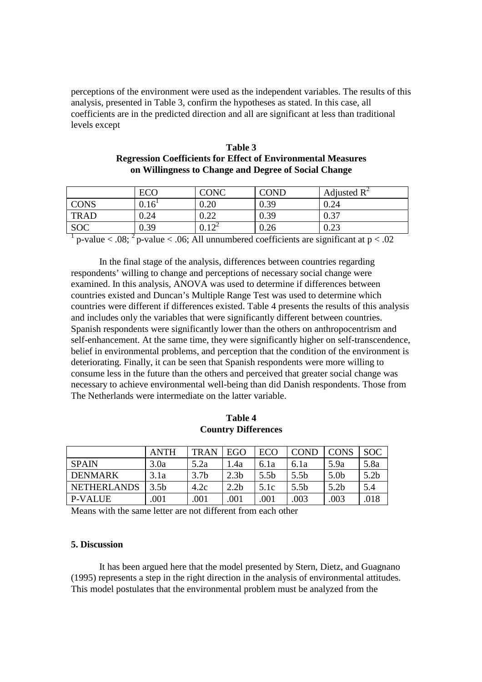perceptions of the environment were used as the independent variables. The results of this analysis, presented in Table 3, confirm the hypotheses as stated. In this case, all coefficients are in the predicted direction and all are significant at less than traditional levels except

| Table 3                                                             |
|---------------------------------------------------------------------|
| <b>Regression Coefficients for Effect of Environmental Measures</b> |
| on Willingness to Change and Degree of Social Change                |

|             | ECO               | CONC       | <b>COND</b> | Adjusted $\mathbb{R}^2$ |
|-------------|-------------------|------------|-------------|-------------------------|
| <b>CONS</b> | 0.16 <sup>T</sup> | $0.20\,$   | 0.39        | 0.24                    |
| <b>TRAD</b> | 0.24              | ስ ኃን       | 0.39        | 0.37                    |
| <b>SOC</b>  | 0.39              | $0.12^{2}$ | 0.26        | 0.23                    |

<sup>&</sup>lt;sup>1</sup> p-value < .08; <sup>2</sup> p-value < .06; All unnumbered coefficients are significant at  $p < .02$ 

 In the final stage of the analysis, differences between countries regarding respondents' willing to change and perceptions of necessary social change were examined. In this analysis, ANOVA was used to determine if differences between countries existed and Duncan's Multiple Range Test was used to determine which countries were different if differences existed. Table 4 presents the results of this analysis and includes only the variables that were significantly different between countries. Spanish respondents were significantly lower than the others on anthropocentrism and self-enhancement. At the same time, they were significantly higher on self-transcendence, belief in environmental problems, and perception that the condition of the environment is deteriorating. Finally, it can be seen that Spanish respondents were more willing to consume less in the future than the others and perceived that greater social change was necessary to achieve environmental well-being than did Danish respondents. Those from The Netherlands were intermediate on the latter variable.

|                    | <b>ANTH</b>      | <b>TRAN</b>      | <b>EGO</b>       | ECO              | <b>COND</b>      | <b>CONS</b>      | <b>SOC</b>       |
|--------------------|------------------|------------------|------------------|------------------|------------------|------------------|------------------|
| <b>SPAIN</b>       | 3.0a             | 5.2a             | 1.4a             | 6.1a             | 6.1a             | 5.9a             | 5.8a             |
| <b>DENMARK</b>     | 3.1a             | 3.7 <sub>b</sub> | 2.3 <sub>b</sub> | 5.5 <sub>b</sub> | 5.5 <sub>b</sub> | 5.0 <sub>b</sub> | 5.2 <sub>b</sub> |
| <b>NETHERLANDS</b> | 3.5 <sub>b</sub> | 4.2c             | 2.2 <sub>b</sub> | 5.1c             | 5.5 <sub>b</sub> | 5.2b             | 5.4              |
| P-VALUE            | .001             | .001             | .001             | .001             | .003             | .003             | .018             |

**Table 4 Country Differences** 

Means with the same letter are not different from each other

# **5. Discussion**

 It has been argued here that the model presented by Stern, Dietz, and Guagnano (1995) represents a step in the right direction in the analysis of environmental attitudes. This model postulates that the environmental problem must be analyzed from the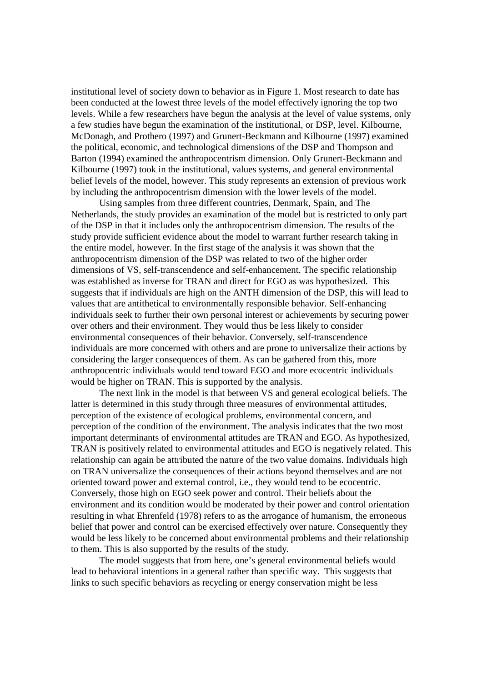institutional level of society down to behavior as in Figure 1. Most research to date has been conducted at the lowest three levels of the model effectively ignoring the top two levels. While a few researchers have begun the analysis at the level of value systems, only a few studies have begun the examination of the institutional, or DSP, level. Kilbourne, McDonagh, and Prothero (1997) and Grunert-Beckmann and Kilbourne (1997) examined the political, economic, and technological dimensions of the DSP and Thompson and Barton (1994) examined the anthropocentrism dimension. Only Grunert-Beckmann and Kilbourne (1997) took in the institutional, values systems, and general environmental belief levels of the model, however. This study represents an extension of previous work by including the anthropocentrism dimension with the lower levels of the model.

 Using samples from three different countries, Denmark, Spain, and The Netherlands, the study provides an examination of the model but is restricted to only part of the DSP in that it includes only the anthropocentrism dimension. The results of the study provide sufficient evidence about the model to warrant further research taking in the entire model, however. In the first stage of the analysis it was shown that the anthropocentrism dimension of the DSP was related to two of the higher order dimensions of VS, self-transcendence and self-enhancement. The specific relationship was established as inverse for TRAN and direct for EGO as was hypothesized. This suggests that if individuals are high on the ANTH dimension of the DSP, this will lead to values that are antithetical to environmentally responsible behavior. Self-enhancing individuals seek to further their own personal interest or achievements by securing power over others and their environment. They would thus be less likely to consider environmental consequences of their behavior. Conversely, self-transcendence individuals are more concerned with others and are prone to universalize their actions by considering the larger consequences of them. As can be gathered from this, more anthropocentric individuals would tend toward EGO and more ecocentric individuals would be higher on TRAN. This is supported by the analysis.

 The next link in the model is that between VS and general ecological beliefs. The latter is determined in this study through three measures of environmental attitudes, perception of the existence of ecological problems, environmental concern, and perception of the condition of the environment. The analysis indicates that the two most important determinants of environmental attitudes are TRAN and EGO. As hypothesized, TRAN is positively related to environmental attitudes and EGO is negatively related. This relationship can again be attributed the nature of the two value domains. Individuals high on TRAN universalize the consequences of their actions beyond themselves and are not oriented toward power and external control, i.e., they would tend to be ecocentric. Conversely, those high on EGO seek power and control. Their beliefs about the environment and its condition would be moderated by their power and control orientation resulting in what Ehrenfeld (1978) refers to as the arrogance of humanism, the erroneous belief that power and control can be exercised effectively over nature. Consequently they would be less likely to be concerned about environmental problems and their relationship to them. This is also supported by the results of the study.

 The model suggests that from here, one's general environmental beliefs would lead to behavioral intentions in a general rather than specific way. This suggests that links to such specific behaviors as recycling or energy conservation might be less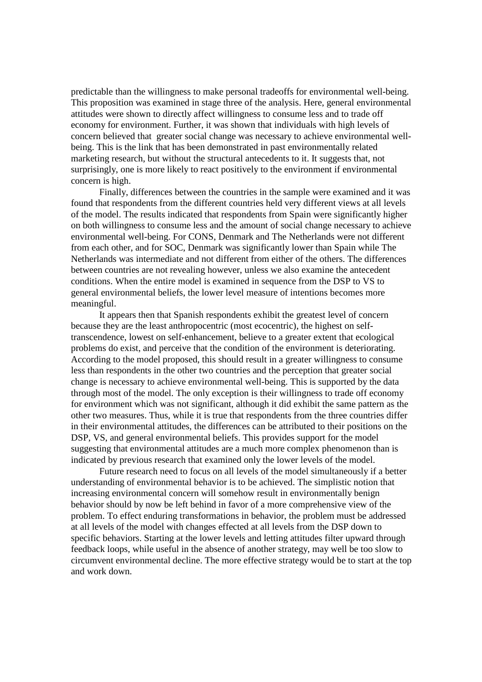predictable than the willingness to make personal tradeoffs for environmental well-being. This proposition was examined in stage three of the analysis. Here, general environmental attitudes were shown to directly affect willingness to consume less and to trade off economy for environment. Further, it was shown that individuals with high levels of concern believed that greater social change was necessary to achieve environmental wellbeing. This is the link that has been demonstrated in past environmentally related marketing research, but without the structural antecedents to it. It suggests that, not surprisingly, one is more likely to react positively to the environment if environmental concern is high.

 Finally, differences between the countries in the sample were examined and it was found that respondents from the different countries held very different views at all levels of the model. The results indicated that respondents from Spain were significantly higher on both willingness to consume less and the amount of social change necessary to achieve environmental well-being. For CONS, Denmark and The Netherlands were not different from each other, and for SOC, Denmark was significantly lower than Spain while The Netherlands was intermediate and not different from either of the others. The differences between countries are not revealing however, unless we also examine the antecedent conditions. When the entire model is examined in sequence from the DSP to VS to general environmental beliefs, the lower level measure of intentions becomes more meaningful.

 It appears then that Spanish respondents exhibit the greatest level of concern because they are the least anthropocentric (most ecocentric), the highest on selftranscendence, lowest on self-enhancement, believe to a greater extent that ecological problems do exist, and perceive that the condition of the environment is deteriorating. According to the model proposed, this should result in a greater willingness to consume less than respondents in the other two countries and the perception that greater social change is necessary to achieve environmental well-being. This is supported by the data through most of the model. The only exception is their willingness to trade off economy for environment which was not significant, although it did exhibit the same pattern as the other two measures. Thus, while it is true that respondents from the three countries differ in their environmental attitudes, the differences can be attributed to their positions on the DSP, VS, and general environmental beliefs. This provides support for the model suggesting that environmental attitudes are a much more complex phenomenon than is indicated by previous research that examined only the lower levels of the model.

 Future research need to focus on all levels of the model simultaneously if a better understanding of environmental behavior is to be achieved. The simplistic notion that increasing environmental concern will somehow result in environmentally benign behavior should by now be left behind in favor of a more comprehensive view of the problem. To effect enduring transformations in behavior, the problem must be addressed at all levels of the model with changes effected at all levels from the DSP down to specific behaviors. Starting at the lower levels and letting attitudes filter upward through feedback loops, while useful in the absence of another strategy, may well be too slow to circumvent environmental decline. The more effective strategy would be to start at the top and work down.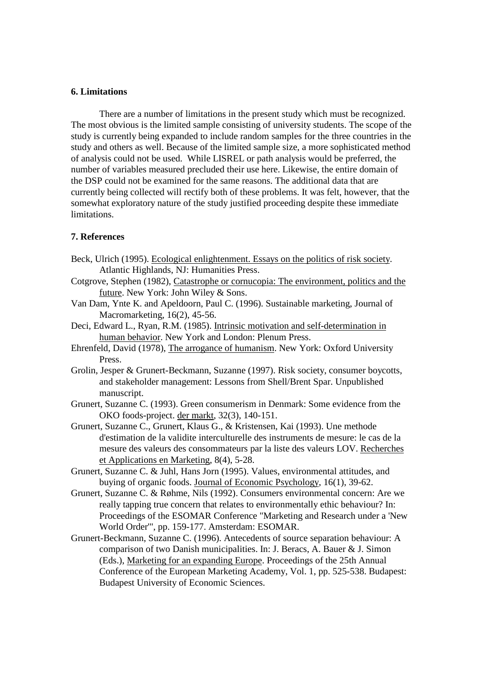# **6. Limitations**

 There are a number of limitations in the present study which must be recognized. The most obvious is the limited sample consisting of university students. The scope of the study is currently being expanded to include random samples for the three countries in the study and others as well. Because of the limited sample size, a more sophisticated method of analysis could not be used. While LISREL or path analysis would be preferred, the number of variables measured precluded their use here. Likewise, the entire domain of the DSP could not be examined for the same reasons. The additional data that are currently being collected will rectify both of these problems. It was felt, however, that the somewhat exploratory nature of the study justified proceeding despite these immediate limitations.

## **7. References**

- Beck, Ulrich (1995). Ecological enlightenment. Essays on the politics of risk society. Atlantic Highlands, NJ: Humanities Press.
- Cotgrove, Stephen (1982), Catastrophe or cornucopia: The environment, politics and the future. New York: John Wiley & Sons.
- Van Dam, Ynte K. and Apeldoorn, Paul C. (1996). Sustainable marketing, Journal of Macromarketing, 16(2), 45-56.
- Deci, Edward L., Ryan, R.M. (1985). Intrinsic motivation and self-determination in human behavior. New York and London: Plenum Press.
- Ehrenfeld, David (1978), The arrogance of humanism. New York: Oxford University Press.
- Grolin, Jesper & Grunert-Beckmann, Suzanne (1997). Risk society, consumer boycotts, and stakeholder management: Lessons from Shell/Brent Spar. Unpublished manuscript.
- Grunert, Suzanne C. (1993). Green consumerism in Denmark: Some evidence from the OKO foods-project. der markt, 32(3), 140-151.
- Grunert, Suzanne C., Grunert, Klaus G., & Kristensen, Kai (1993). Une methode d'estimation de la validite interculturelle des instruments de mesure: le cas de la mesure des valeurs des consommateurs par la liste des valeurs LOV. Recherches et Applications en Marketing, 8(4), 5-28.
- Grunert, Suzanne C. & Juhl, Hans Jorn (1995). Values, environmental attitudes, and buying of organic foods. Journal of Economic Psychology, 16(1), 39-62.
- Grunert, Suzanne C. & Røhme, Nils (1992). Consumers environmental concern: Are we really tapping true concern that relates to environmentally ethic behaviour? In: Proceedings of the ESOMAR Conference "Marketing and Research under a 'New World Order'", pp. 159-177. Amsterdam: ESOMAR.
- Grunert-Beckmann, Suzanne C. (1996). Antecedents of source separation behaviour: A comparison of two Danish municipalities. In: J. Beracs, A. Bauer & J. Simon (Eds.), Marketing for an expanding Europe. Proceedings of the 25th Annual Conference of the European Marketing Academy, Vol. 1, pp. 525-538. Budapest: Budapest University of Economic Sciences.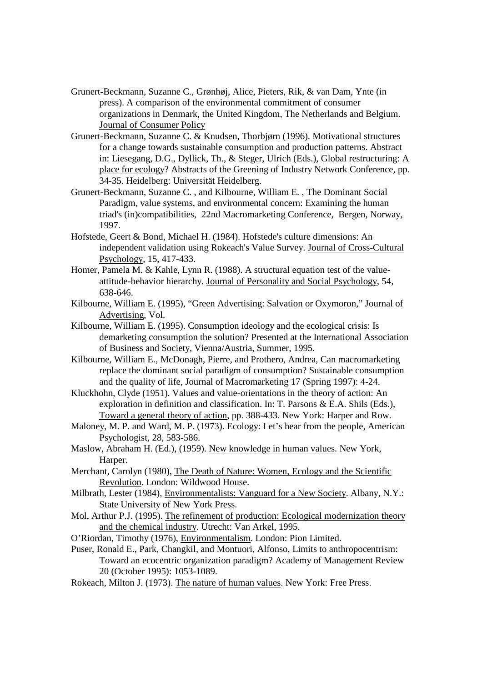- Grunert-Beckmann, Suzanne C., Grønhøj, Alice, Pieters, Rik, & van Dam, Ynte (in press). A comparison of the environmental commitment of consumer organizations in Denmark, the United Kingdom, The Netherlands and Belgium. Journal of Consumer Policy
- Grunert-Beckmann, Suzanne C. & Knudsen, Thorbjørn (1996). Motivational structures for a change towards sustainable consumption and production patterns. Abstract in: Liesegang, D.G., Dyllick, Th., & Steger, Ulrich (Eds.), Global restructuring: A place for ecology? Abstracts of the Greening of Industry Network Conference, pp. 34-35. Heidelberg: Universität Heidelberg.
- Grunert-Beckmann, Suzanne C. , and Kilbourne, William E. , The Dominant Social Paradigm, value systems, and environmental concern: Examining the human triad's (in)compatibilities, 22nd Macromarketing Conference, Bergen, Norway, 1997.
- Hofstede, Geert & Bond, Michael H. (1984). Hofstede's culture dimensions: An independent validation using Rokeach's Value Survey. Journal of Cross-Cultural Psychology, 15, 417-433.
- Homer, Pamela M. & Kahle, Lynn R. (1988). A structural equation test of the valueattitude-behavior hierarchy. Journal of Personality and Social Psychology, 54, 638-646.
- Kilbourne, William E. (1995), "Green Advertising: Salvation or Oxymoron," Journal of Advertising, Vol.
- Kilbourne, William E. (1995). Consumption ideology and the ecological crisis: Is demarketing consumption the solution? Presented at the International Association of Business and Society, Vienna/Austria, Summer, 1995.
- Kilbourne, William E., McDonagh, Pierre, and Prothero, Andrea, Can macromarketing replace the dominant social paradigm of consumption? Sustainable consumption and the quality of life, Journal of Macromarketing 17 (Spring 1997): 4-24.
- Kluckhohn, Clyde (1951). Values and value-orientations in the theory of action: An exploration in definition and classification. In: T. Parsons & E.A. Shils (Eds.), Toward a general theory of action, pp. 388-433. New York: Harper and Row.
- Maloney, M. P. and Ward, M. P. (1973). Ecology: Let's hear from the people, American Psychologist, 28, 583-586.
- Maslow, Abraham H. (Ed.), (1959). New knowledge in human values. New York, Harper.
- Merchant, Carolyn (1980), The Death of Nature: Women, Ecology and the Scientific Revolution. London: Wildwood House.
- Milbrath, Lester (1984), Environmentalists: Vanguard for a New Society. Albany, N.Y.: State University of New York Press.
- Mol, Arthur P.J. (1995). The refinement of production: Ecological modernization theory and the chemical industry. Utrecht: Van Arkel, 1995.
- O'Riordan, Timothy (1976), Environmentalism. London: Pion Limited.
- Puser, Ronald E., Park, Changkil, and Montuori, Alfonso, Limits to anthropocentrism: Toward an ecocentric organization paradigm? Academy of Management Review 20 (October 1995): 1053-1089.
- Rokeach, Milton J. (1973). The nature of human values. New York: Free Press.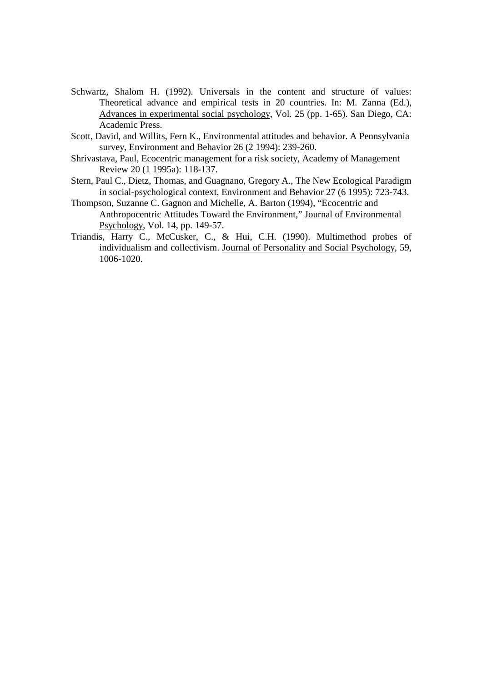- Schwartz, Shalom H. (1992). Universals in the content and structure of values: Theoretical advance and empirical tests in 20 countries. In: M. Zanna (Ed.), Advances in experimental social psychology, Vol. 25 (pp. 1-65). San Diego, CA: Academic Press.
- Scott, David, and Willits, Fern K., Environmental attitudes and behavior. A Pennsylvania survey, Environment and Behavior 26 (2 1994): 239-260.
- Shrivastava, Paul, Ecocentric management for a risk society, Academy of Management Review 20 (1 1995a): 118-137.
- Stern, Paul C., Dietz, Thomas, and Guagnano, Gregory A., The New Ecological Paradigm in social-psychological context, Environment and Behavior 27 (6 1995): 723-743.
- Thompson, Suzanne C. Gagnon and Michelle, A. Barton (1994), "Ecocentric and Anthropocentric Attitudes Toward the Environment," Journal of Environmental Psychology, Vol. 14, pp. 149-57.
- Triandis, Harry C., McCusker, C., & Hui, C.H. (1990). Multimethod probes of individualism and collectivism. Journal of Personality and Social Psychology, 59, 1006-1020.